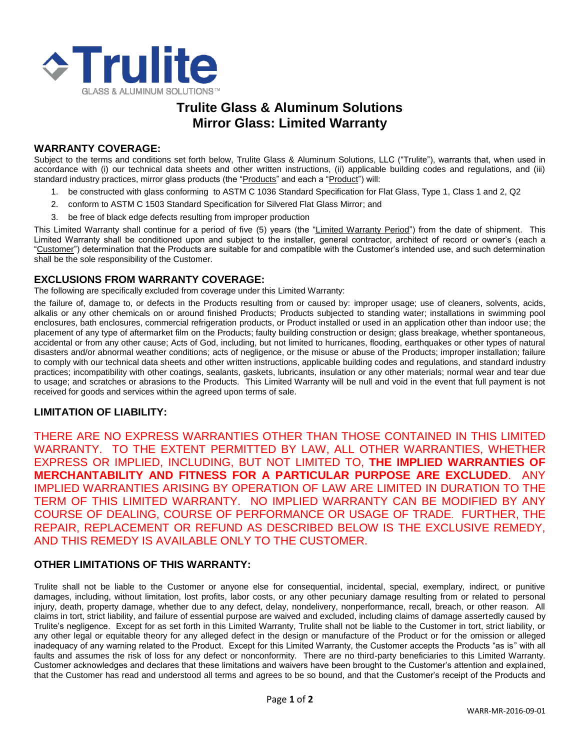

# **Trulite Glass & Aluminum Solutions Mirror Glass: Limited Warranty**

#### **WARRANTY COVERAGE:**

Subject to the terms and conditions set forth below, Trulite Glass & Aluminum Solutions, LLC ("Trulite"), warrants that, when used in accordance with (i) our technical data sheets and other written instructions, (ii) applicable building codes and regulations, and (iii) standard industry practices, mirror glass products (the "Products" and each a "Product") will:

- 1. be constructed with glass conforming to ASTM C 1036 Standard Specification for Flat Glass, Type 1, Class 1 and 2, Q2
- 2. conform to ASTM C 1503 Standard Specification for Silvered Flat Glass Mirror; and
- 3. be free of black edge defects resulting from improper production

This Limited Warranty shall continue for a period of five (5) years (the "Limited Warranty Period") from the date of shipment. This Limited Warranty shall be conditioned upon and subject to the installer, general contractor, architect of record or owner's (each a "Customer") determination that the Products are suitable for and compatible with the Customer's intended use, and such determination shall be the sole responsibility of the Customer.

#### **EXCLUSIONS FROM WARRANTY COVERAGE:**

The following are specifically excluded from coverage under this Limited Warranty:

the failure of, damage to, or defects in the Products resulting from or caused by: improper usage; use of cleaners, solvents, acids, alkalis or any other chemicals on or around finished Products; Products subjected to standing water; installations in swimming pool enclosures, bath enclosures, commercial refrigeration products, or Product installed or used in an application other than indoor use; the placement of any type of aftermarket film on the Products; faulty building construction or design; glass breakage, whether spontaneous, accidental or from any other cause; Acts of God, including, but not limited to hurricanes, flooding, earthquakes or other types of natural disasters and/or abnormal weather conditions; acts of negligence, or the misuse or abuse of the Products; improper installation; failure to comply with our technical data sheets and other written instructions, applicable building codes and regulations, and standard industry practices; incompatibility with other coatings, sealants, gaskets, lubricants, insulation or any other materials; normal wear and tear due to usage; and scratches or abrasions to the Products. This Limited Warranty will be null and void in the event that full payment is not received for goods and services within the agreed upon terms of sale.

#### **LIMITATION OF LIABILITY:**

THERE ARE NO EXPRESS WARRANTIES OTHER THAN THOSE CONTAINED IN THIS LIMITED WARRANTY. TO THE EXTENT PERMITTED BY LAW, ALL OTHER WARRANTIES, WHETHER EXPRESS OR IMPLIED, INCLUDING, BUT NOT LIMITED TO, **THE IMPLIED WARRANTIES OF MERCHANTABILITY AND FITNESS FOR A PARTICULAR PURPOSE ARE EXCLUDED**. ANY IMPLIED WARRANTIES ARISING BY OPERATION OF LAW ARE LIMITED IN DURATION TO THE TERM OF THIS LIMITED WARRANTY. NO IMPLIED WARRANTY CAN BE MODIFIED BY ANY COURSE OF DEALING, COURSE OF PERFORMANCE OR USAGE OF TRADE. FURTHER, THE REPAIR, REPLACEMENT OR REFUND AS DESCRIBED BELOW IS THE EXCLUSIVE REMEDY, AND THIS REMEDY IS AVAILABLE ONLY TO THE CUSTOMER.

#### **OTHER LIMITATIONS OF THIS WARRANTY:**

Trulite shall not be liable to the Customer or anyone else for consequential, incidental, special, exemplary, indirect, or punitive damages, including, without limitation, lost profits, labor costs, or any other pecuniary damage resulting from or related to personal injury, death, property damage, whether due to any defect, delay, nondelivery, nonperformance, recall, breach, or other reason. All claims in tort, strict liability, and failure of essential purpose are waived and excluded, including claims of damage assertedly caused by Trulite's negligence. Except for as set forth in this Limited Warranty, Trulite shall not be liable to the Customer in tort, strict liability, or any other legal or equitable theory for any alleged defect in the design or manufacture of the Product or for the omission or alleged inadequacy of any warning related to the Product. Except for this Limited Warranty, the Customer accepts the Products "as is" with all faults and assumes the risk of loss for any defect or nonconformity. There are no third-party beneficiaries to this Limited Warranty. Customer acknowledges and declares that these limitations and waivers have been brought to the Customer's attention and explained, that the Customer has read and understood all terms and agrees to be so bound, and that the Customer's receipt of the Products and